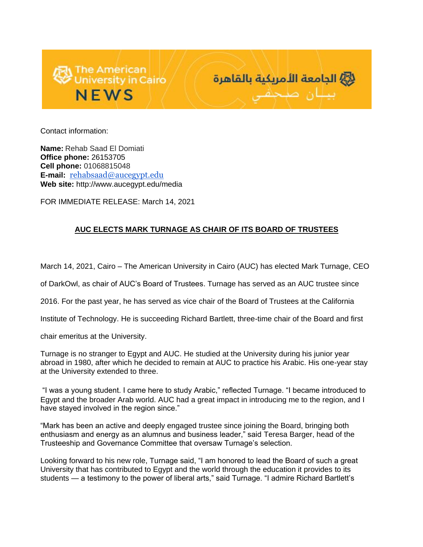



Contact information:

**Name:** Rehab Saad El Domiati **Office phone:** 26153705 **Cell phone:** 01068815048 **E-mail:** [rehabsaad@aucegypt.edu](mailto:rehabsaad@aucegypt.edu) **Web site:** http://www.aucegypt.edu/media

FOR IMMEDIATE RELEASE: March 14, 2021

## **AUC ELECTS MARK TURNAGE AS CHAIR OF ITS BOARD OF TRUSTEES**

March 14, 2021, Cairo – The American University in Cairo (AUC) has elected Mark Turnage, CEO

of DarkOwl, as chair of AUC's Board of Trustees. Turnage has served as an AUC trustee since

2016. For the past year, he has served as vice chair of the Board of Trustees at the California

Institute of Technology. He is succeeding Richard Bartlett, three-time chair of the Board and first

chair emeritus at the University.

Turnage is no stranger to Egypt and AUC. He studied at the University during his junior year abroad in 1980, after which he decided to remain at AUC to practice his Arabic. His one-year stay at the University extended to three.

"I was a young student. I came here to study Arabic," reflected Turnage. "I became introduced to Egypt and the broader Arab world. AUC had a great impact in introducing me to the region, and I have stayed involved in the region since."

"Mark has been an active and deeply engaged trustee since joining the Board, bringing both enthusiasm and energy as an alumnus and business leader," said Teresa Barger, head of the Trusteeship and Governance Committee that oversaw Turnage's selection.

Looking forward to his new role, Turnage said, "I am honored to lead the Board of such a great University that has contributed to Egypt and the world through the education it provides to its students — a testimony to the power of liberal arts," said Turnage. "I admire Richard Bartlett's